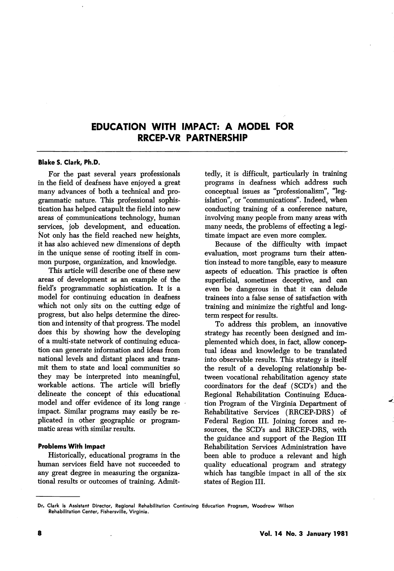# EDUCATION WITH IMPACT: A MODEL FOR RRCEP-VR PARTNERSHIP

### Blake S. Clark, Ph.D.

For the past several years professionals in the field of deafness have enjoyed a great many advances of both a technical and pro grammatic nature. This professional sophis tication has helped catapult the field into new areas of communications technology, human services, job development, and education. Not only has the field reached new heights, it has also achieved new dimensions of depth in the unique sense of rooting itself in com mon purpose, organization, and knowledge.

This article will describe one of these new areas of development as an example of the field's programmatic sophistication. It is a model for continuing education in deafness which not only sits on the cutting edge of progress, but also helps determine the direc tion and intensity of thai progress. The model does this by showing how the developing of a multi-state network of continuing educa tion can generate information and ideas from national levels and distant places and trans mit them to state and local communities so they may be interpreted into meaningful, workable actions. The article will briefly delineate the concept of this educational model and offer evidence of its long range impact. Similar programs may easily be re plicated in other geographic or program matic areas with similar results.

### Problems With Impact

Historically, educational programs in the human services field have not succeeded to any great degree in measuring the organiza tional results or outcomes of training. Admit

tedly, it is difficult, particularly in training programs in deafness which address such conceptual issues as "professionalism", "leg islation", or "communications". Indeed, when conducting training of a conference nature, involving many people from many areas with many needs, the problems of effecting a legi timate impact are even more complex.

Because of the difficulty with impact evaluation, most programs turn their atten tion instead to more tangible, easy to measure aspects of education. This practice is often superficial, sometimes deceptive, and can even be dangerous in that it can delude trainees into a false sense of satisfaction with training and minimize the rightful and longterm respect for results.

To address this problem, an innovative strategy has recently been designed and im plemented which does, in fact, allow concep tual ideas and knowledge to be translated into observable results. This strategy is itself the result of a developing relationship be tween vocational rehabilitation agency state coordinators for the deaf (SCD's) and the Regional Rehabilitation Continuing Educa tion Program of the Virginia Department of Rehabilitative Services (RRCEP-DRS) of Federal Region III. Joining forces and re sources, the SCD's and RRCEP-DRS, with the guidance and support of the Region III Rehabilitation Services Administration have been able to produce a relevant and high quality educational program and strategy which has tangible impact in all of the six states of Region III.

Dr. Clark is Assistant Director, Regional Rehabilitation Continuing Education Program, Woodrow Wilson Rehabilitation Center, Fishersville, Virginia.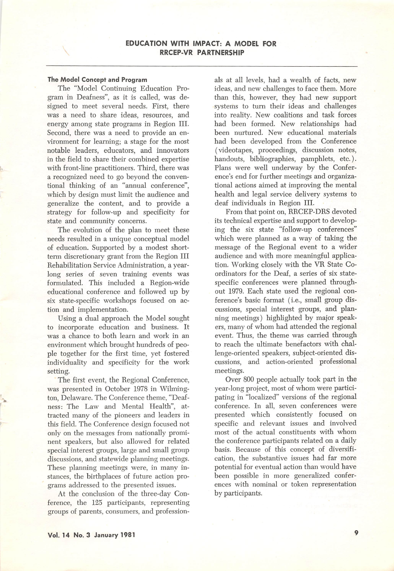#### The Model Concept and Program

The "Model Continuing Education Pro gram in Deafness", as it is called, was de signed to meet several needs. First, there was a need to share ideas, resources, and energy among state programs in Region III. Second, there was a need to provide an en vironment for learning; a stage for the most notable leaders, educators, and innovators in the field to share their combined expertise with front-line practitioners. Third, there was a recognized need to go beyond the conven tional thinking of an "annual conference", which by design must limit the audience and generalize the content, and to provide a strategy for follow-up and specificity for state and community concerns.

The evolution of the plan to meet these needs resulted in a unique conceptual model of education. Supported by a modest shortterm discretionary grant from the Region III Rehabilitation Service Administration, a year long series of seven training events was formulated. This included a Region-wide educational conference and followed up by six state-specific workshops focused on ac tion and implementation.

Using a dual approach the Model sought to incorporate education and business. It was a chance to both learn and work in an environment which brought hundreds of peo ple together for the first time, yet fostered individuality and specificity for the work setting.

The first event, the Regional Conference, was presented in October 1978 in Wilming ton, Delaware. The Conference theme, "Deaf ness: The Law and Mental Health", at tracted many of the pioneers and leaders in this field. The Conference design focused not only on the messages from nationally promi nent speakers, but also allowed for related special interest groups, large and small group discussions, and statewide planning meetings. These planning meetings were, in many in stances, the birthplaces of future action pro grams addressed to the presented issues.

At the conclusion of the three-day Con ference, the 125 participants, representing groups of parents, consumers, and profession

als at all levels, had a wealth of facts, new ideas, and new challenges to face them. More than this, however, they had new support systems to turn their ideas and challenges into reality. New coalitions and task forces had been formed. New relationships had been nurtured. New educational materials had been developed from the Conference (videotapes, proceedings, discussion notes, handouts, bibliographies, pamphlets, etc.). Plans were well underway by the Confer ence's end for further meetings and organiza tional actions aimed at improving the mental health and legal service delivery systems to deaf individuals in Region III.

From that point on, RRCEP-DRS devoted its technical expertise and support to develop ing the six state "follow-up conferences" which were planned as a way of taking the message of the Regional event to a wider audience and with more meaningful applica tion. Working closely with the VR State Co ordinators for the Deaf, a series of six statespecific conferences were planned through out 1979. Each state used the regional con ference's basic format (i.e., small group dis cussions, special interest groups, and plan ning meetings) highlighted by major speak ers, many of whom had attended the regional event. Thus, the theme was carried through to reach the ultimate benefactors with chal lenge-oriented speakers, subject-oriented dis cussions, and action-oriented professional meetings.

Over 800 people actually took part in the year-long project, most of whom were partici pating in "localized" versions of the regional conference. In all, seven conferences were presented which consistently focused on specific and relevant issues and involved most of the actual constituents with whom the conference participants related on a daily basis, because of this concept of diversifi cation, the substantive issues had far more potential for eventual action than would have been possible in more generalized confer ences with nominal or token representation by participants.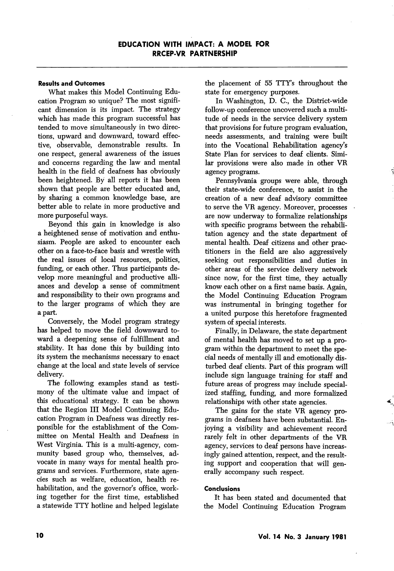### Results and Outcomes

What makes this Model Continuing Edu cation Program so unique? The most signifi cant dimension is its impact. The strategy which has made this program successful has tended to move simultaneously in two direc tions, upward and downward, toward effec tive, observable, demonstrable results. In one respect, general awareness of the issues and concerns regarding the law and mental health in the field of deafness has obviously been heightened. By all reports it has been shown that people are better educated and, by sharing a common knowledge base, are better able to relate in more productive and more purposeful ways.

Beyond this gain in knowledge is also a heightened sense of motivation and enthu siasm. People are asked to encounter each other on a face-to-face basis and wrestle with the real issues of local resources, politics, funding, or each other. Thus participants de velop more meaningful and productive alli ances and develop a sense of commitment and responsibility to their own programs and to the larger programs of which they are a part.

Conversely, the Model program strategy has helped to move the field downward to ward a deepening sense of fulfillment and stability. It has done this by building into its system the mechanisms necessary to enact change at the local and state levels of service delivery.

The following examples stand as testi mony of the ultimate value and impact of this educational strategy. It can be shown that the Region III Model Continuing Edu cation Program in Deafness was directly res ponsible for the establishment of the Com mittee on Mental Health and Deafness in West Virginia. This is a multi-agency, com munity based group who, themselves, ad vocate in many ways for mental health pro grams and services. Furthermore, state agen cies such as welfare, education, health re habilitation, and the governor's office, working together for the first time, established a statewide TTY hotline and helped legislate

the placement of 55 TTY's throughout the state for emergency purposes.

In Washington, D. C., the District-wide follow-up conference uncovered such a multi tude of needs in the service delivery system that provisions for future program evaluation, needs assessments, and training were built into the Vocational Rehabilitation agency's State Plan for services to deaf clients. Simi lar provisions were also made in other VR agency programs.

Pennsylvania groups were able, through their state-wide conference, to assist in the creation of a new deaf advisory committee to serve the VR agency. Moreover, processes are now underway to formalize relationships with specific programs between the rehabili tation agency and the state department of mental health. Deaf citizens and other prac titioners in the field are also aggressively seeking out responsibilities and duties in other areas of the service delivery network since now, for the first time, they actually know each other on a first name basis. Again, the Model Continuing Education Program was instrumental in bringing together for a united purpose this heretofore fragmented system of special interests.

Finally, in Delaware, the state department of mental health has moved to set up a pro gram within the department to meet the special needs of mentally ill and emotionally dis turbed deaf clients. Part of this program will include sign language training for staff and future areas of progress may include special ized staffing, funding, and more formalized relationships with other state agencies.

The gains for the state VR agency pro grams in deafness have been substantial. En joying a visibility and achievement record rarely felt in other departments of the VR agency, services to deaf persons have increas ingly gained attention, respect, and the result ing support and cooperation that will gen erally accompany such respect.

## Conclusions

It has been stated and documented that the Model Continuing Education Program